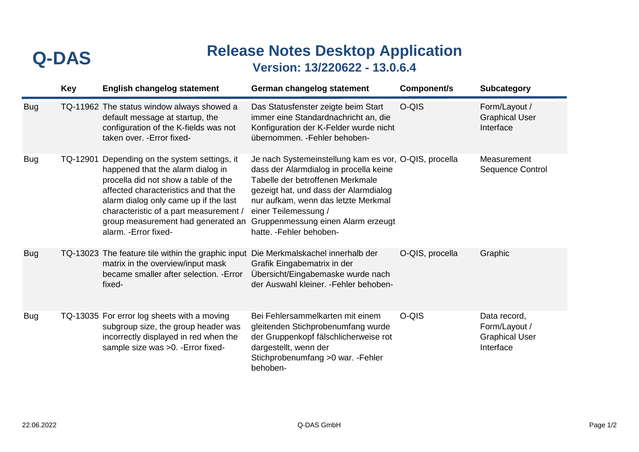## **Release Notes Desktop Application Version: 13/220622 - 13.0.6.4 Q-DAS**

|            | <b>Key</b> | <b>English changelog statement</b>                                                                                                                                                                                                                                                                           | German changelog statement                                                                                                                                                                                                                                                                                    | Component/s     | <b>Subcategory</b>                                                  |
|------------|------------|--------------------------------------------------------------------------------------------------------------------------------------------------------------------------------------------------------------------------------------------------------------------------------------------------------------|---------------------------------------------------------------------------------------------------------------------------------------------------------------------------------------------------------------------------------------------------------------------------------------------------------------|-----------------|---------------------------------------------------------------------|
| <b>Bug</b> |            | TQ-11962 The status window always showed a<br>default message at startup, the<br>configuration of the K-fields was not<br>taken over. - Error fixed-                                                                                                                                                         | Das Statusfenster zeigte beim Start<br>immer eine Standardnachricht an, die<br>Konfiguration der K-Felder wurde nicht<br>übernommen. - Fehler behoben-                                                                                                                                                        | O-QIS           | Form/Layout /<br><b>Graphical User</b><br>Interface                 |
| <b>Bug</b> | TQ-12901   | Depending on the system settings, it<br>happened that the alarm dialog in<br>procella did not show a table of the<br>affected characteristics and that the<br>alarm dialog only came up if the last<br>characteristic of a part measurement /<br>group measurement had generated an<br>alarm. - Error fixed- | Je nach Systemeinstellung kam es vor, O-QIS, procella<br>dass der Alarmdialog in procella keine<br>Tabelle der betroffenen Merkmale<br>gezeigt hat, und dass der Alarmdialog<br>nur aufkam, wenn das letzte Merkmal<br>einer Teilemessung /<br>Gruppenmessung einen Alarm erzeugt<br>hatte. - Fehler behoben- |                 | Measurement<br><b>Sequence Control</b>                              |
| <b>Bug</b> |            | TQ-13023 The feature tile within the graphic input<br>matrix in the overview/input mask<br>became smaller after selection. - Error<br>fixed-                                                                                                                                                                 | Die Merkmalskachel innerhalb der<br>Grafik Eingabematrix in der<br>Übersicht/Eingabemaske wurde nach<br>der Auswahl kleiner. - Fehler behoben-                                                                                                                                                                | O-QIS, procella | Graphic                                                             |
| <b>Bug</b> |            | TQ-13035 For error log sheets with a moving<br>subgroup size, the group header was<br>incorrectly displayed in red when the<br>sample size was >0. - Error fixed-                                                                                                                                            | Bei Fehlersammelkarten mit einem<br>gleitenden Stichprobenumfang wurde<br>der Gruppenkopf fälschlicherweise rot<br>dargestellt, wenn der<br>Stichprobenumfang > 0 war. - Fehler<br>behoben-                                                                                                                   | O-QIS           | Data record,<br>Form/Layout /<br><b>Graphical User</b><br>Interface |